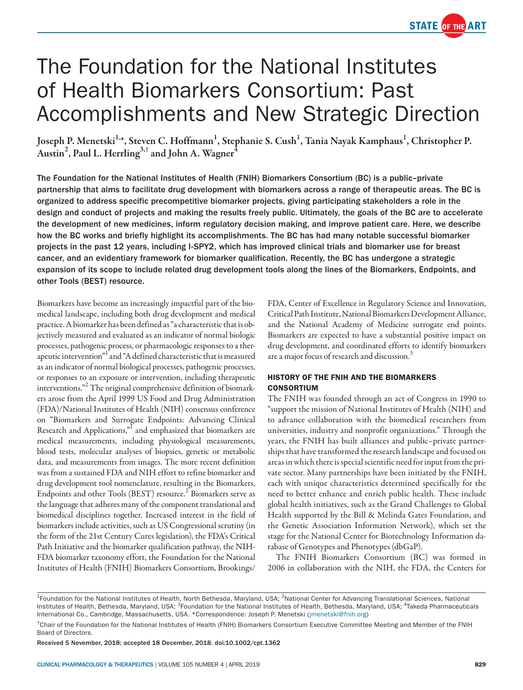

# The Foundation for the National Institutes of Health Biomarkers Consortium: Past Accomplishments and New Strategic Direction

Joseph P. Menetski<sup>1,</sup>\*, Steven C. Hoffmann<sup>1</sup>, Stephanie S. Cush<sup>1</sup>, Tania Nayak Kamphaus<sup>1</sup>, Christopher P. Austin<sup>2</sup>, Paul L. Herrling<sup>3,†</sup> and John A. Wagner<sup>4</sup>

The Foundation for the National Institutes of Health (FNIH) Biomarkers Consortium (BC) is a public–private partnership that aims to facilitate drug development with biomarkers across a range of therapeutic areas. The BC is organized to address specific precompetitive biomarker projects, giving participating stakeholders a role in the design and conduct of projects and making the results freely public. Ultimately, the goals of the BC are to accelerate the development of new medicines, inform regulatory decision making, and improve patient care. Here, we describe how the BC works and briefly highlight its accomplishments. The BC has had many notable successful biomarker projects in the past 12 years, including I-SPY2, which has improved clinical trials and biomarker use for breast cancer, and an evidentiary framework for biomarker qualification. Recently, the BC has undergone a strategic expansion of its scope to include related drug development tools along the lines of the Biomarkers, Endpoints, and other Tools (BEST) resource.

Biomarkers have become an increasingly impactful part of the biomedical landscape, including both drug development and medical practice. A biomarker has been defined as "a characteristic that is objectively measured and evaluated as an indicator of normal biologic processes, pathogenic process, or pharmacologic responses to a therapeutic intervention"<sup>1</sup> and "A defined characteristic that is measured as an indicator of normal biological processes, pathogenic processes, or responses to an exposure or intervention, including therapeutic interventions."<sup>2</sup> The original comprehensive definition of biomarkers arose from the April 1999 US Food and Drug Administration (FDA)/National Institutes of Health (NIH) consensus conference on "Biomarkers and Surrogate Endpoints: Advancing Clinical Research and Applications,"<sup>I</sup> and emphasized that biomarkers are medical measurements, including physiological measurements, blood tests, molecular analyses of biopsies, genetic or metabolic data, and measurements from images. The more recent definition was from a sustained FDA and NIH effort to refine biomarker and drug development tool nomenclature, resulting in the Biomarkers, Endpoints and other Tools (BEST) resource.<sup>2</sup> Biomarkers serve as the language that adheres many of the component translational and biomedical disciplines together. Increased interest in the field of biomarkers include activities, such as US Congressional scrutiny (in the form of the 21st Century Cures legislation), the FDA's Critical Path Initiative and the biomarker qualification pathway, the NIH-FDA biomarker taxonomy effort, the Foundation for the National Institutes of Health (FNIH) Biomarkers Consortium, Brookings/

FDA, Center of Excellence in Regulatory Science and Innovation, Critical Path Institute, National Biomarkers Development Alliance, and the National Academy of Medicine surrogate end points. Biomarkers are expected to have a substantial positive impact on drug development, and coordinated efforts to identify biomarkers are a major focus of research and discussion.<sup>3</sup>

## HISTORY OF THE FNIH AND THE BIOMARKERS CONSORTIUM

The FNIH was founded through an act of Congress in 1990 to "support the mission of National Institutes of Health (NIH) and to advance collaboration with the biomedical researchers from universities, industry and nonprofit organizations." Through the years, the FNIH has built alliances and public–private partnerships that have transformed the research landscape and focused on areas in which there is special scientific need for input from the private sector. Many partnerships have been initiated by the FNIH, each with unique characteristics determined specifically for the need to better enhance and enrich public health. These include global health initiatives, such as the Grand Challenges to Global Health supported by the Bill & Melinda Gates Foundation, and the Genetic Association Information Network), which set the stage for the National Center for Biotechnology Information database of Genotypes and Phenotypes (dbGaP).

The FNIH Biomarkers Consortium (BC) was formed in 2006 in collaboration with the NIH, the FDA, the Centers for

<sup>&</sup>lt;sup>1</sup>Foundation for the National Institutes of Health, North Bethesda, Maryland, USA; <sup>2</sup>National Center for Advancing Translational Sciences, National Institutes of Health, Bethesda, Maryland, USA; <sup>3</sup>Foundation for the National Institutes of Health, Bethesda, Maryland, USA; <sup>4</sup>Takeda Pharmaceuticals International Co., Cambridge, Massachusetts, USA. \*Correspondence: Joseph P. Menetski ([jmenetski@fnih.org](mailto:jmenetski@fnih.org))

<sup>†</sup> Chair of the Foundation for the National Institutes of Health (FNIH) Biomarkers Consortium Executive Committee Meeting and Member of the FNIH Board of Directors.

Received 5 November, 2018; accepted 18 December, 2018. doi:10.1002/cpt.1362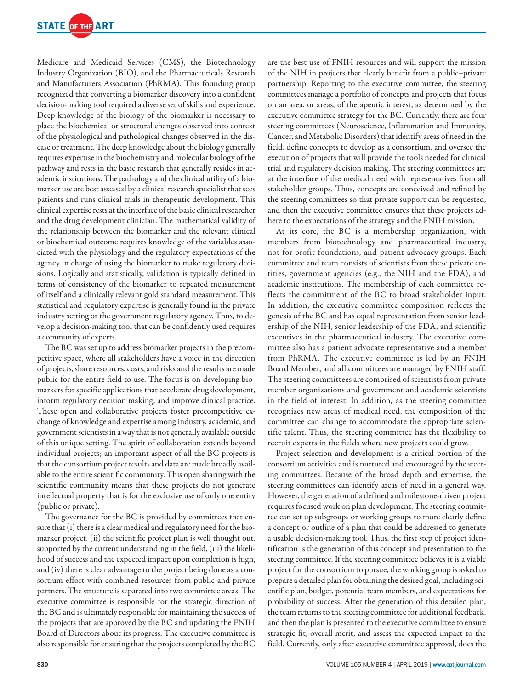

Medicare and Medicaid Services (CMS), the Biotechnology Industry Organization (BIO), and the Pharmaceuticals Research and Manufacturers Association (PhRMA). This founding group recognized that converting a biomarker discovery into a confident decision-making tool required a diverse set of skills and experience. Deep knowledge of the biology of the biomarker is necessary to place the biochemical or structural changes observed into context of the physiological and pathological changes observed in the disease or treatment. The deep knowledge about the biology generally requires expertise in the biochemistry and molecular biology of the pathway and rests in the basic research that generally resides in academic institutions. The pathology and the clinical utility of a biomarker use are best assessed by a clinical research specialist that sees patients and runs clinical trials in therapeutic development. This clinical expertise rests at the interface of the basic clinical researcher and the drug development clinician. The mathematical validity of the relationship between the biomarker and the relevant clinical or biochemical outcome requires knowledge of the variables associated with the physiology and the regulatory expectations of the agency in charge of using the biomarker to make regulatory decisions. Logically and statistically, validation is typically defined in terms of consistency of the biomarker to repeated measurement of itself and a clinically relevant gold standard measurement. This statistical and regulatory expertise is generally found in the private industry setting or the government regulatory agency. Thus, to develop a decision-making tool that can be confidently used requires a community of experts.

The BC was set up to address biomarker projects in the precompetitive space, where all stakeholders have a voice in the direction of projects, share resources, costs, and risks and the results are made public for the entire field to use. The focus is on developing biomarkers for specific applications that accelerate drug development, inform regulatory decision making, and improve clinical practice. These open and collaborative projects foster precompetitive exchange of knowledge and expertise among industry, academic, and government scientists in a way that is not generally available outside of this unique setting. The spirit of collaboration extends beyond individual projects; an important aspect of all the BC projects is that the consortium project results and data are made broadly available to the entire scientific community. This open sharing with the scientific community means that these projects do not generate intellectual property that is for the exclusive use of only one entity (public or private).

The governance for the BC is provided by committees that ensure that (i) there is a clear medical and regulatory need for the biomarker project, (ii) the scientific project plan is well thought out, supported by the current understanding in the field, (iii) the likelihood of success and the expected impact upon completion is high, and (iv) there is clear advantage to the project being done as a consortium effort with combined resources from public and private partners. The structure is separated into two committee areas. The executive committee is responsible for the strategic direction of the BC and is ultimately responsible for maintaining the success of the projects that are approved by the BC and updating the FNIH Board of Directors about its progress. The executive committee is also responsible for ensuring that the projects completed by the BC

are the best use of FNIH resources and will support the mission of the NIH in projects that clearly benefit from a public–private partnership. Reporting to the executive committee, the steering committees manage a portfolio of concepts and projects that focus on an area, or areas, of therapeutic interest, as determined by the executive committee strategy for the BC. Currently, there are four steering committees (Neuroscience, Inflammation and Immunity, Cancer, and Metabolic Disorders) that identify areas of need in the field, define concepts to develop as a consortium, and oversee the execution of projects that will provide the tools needed for clinical trial and regulatory decision making. The steering committees are at the interface of the medical need with representatives from all stakeholder groups. Thus, concepts are conceived and refined by the steering committees so that private support can be requested, and then the executive committee ensures that these projects adhere to the expectations of the strategy and the FNIH mission.

At its core, the BC is a membership organization, with members from biotechnology and pharmaceutical industry, not-for-profit foundations, and patient advocacy groups. Each committee and team consists of scientists from these private entities, government agencies (e.g., the NIH and the FDA), and academic institutions. The membership of each committee reflects the commitment of the BC to broad stakeholder input. In addition, the executive committee composition reflects the genesis of the BC and has equal representation from senior leadership of the NIH, senior leadership of the FDA, and scientific executives in the pharmaceutical industry. The executive committee also has a patient advocate representative and a member from PhRMA. The executive committee is led by an FNIH Board Member, and all committees are managed by FNIH staff. The steering committees are comprised of scientists from private member organizations and government and academic scientists in the field of interest. In addition, as the steering committee recognizes new areas of medical need, the composition of the committee can change to accommodate the appropriate scientific talent. Thus, the steering committee has the flexibility to recruit experts in the fields where new projects could grow.

Project selection and development is a critical portion of the consortium activities and is nurtured and encouraged by the steering committees. Because of the broad depth and expertise, the steering committees can identify areas of need in a general way. However, the generation of a defined and milestone-driven project requires focused work on plan development. The steering committee can set up subgroups or working groups to more clearly define a concept or outline of a plan that could be addressed to generate a usable decision-making tool. Thus, the first step of project identification is the generation of this concept and presentation to the steering committee. If the steering committee believes it is a viable project for the consortium to pursue, the working group is asked to prepare a detailed plan for obtaining the desired goal, including scientific plan, budget, potential team members, and expectations for probability of success. After the generation of this detailed plan, the team returns to the steering committee for additional feedback, and then the plan is presented to the executive committee to ensure strategic fit, overall merit, and assess the expected impact to the field. Currently, only after executive committee approval, does the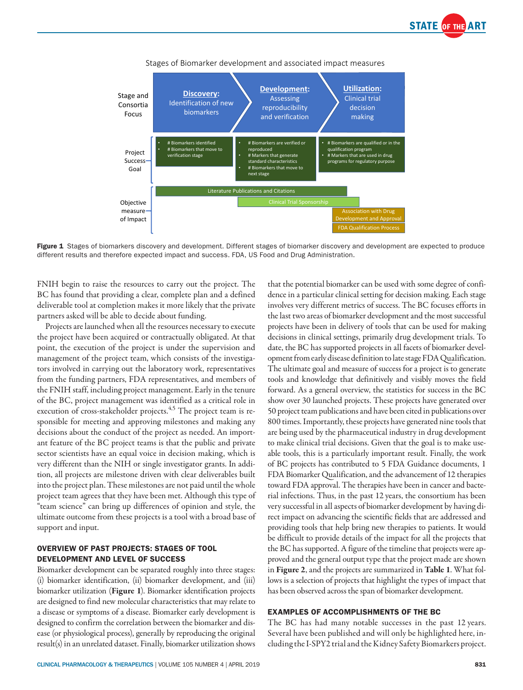



Stages of Biomarker development and associated impact measures

Figure 1 Stages of biomarkers discovery and development. Different stages of biomarker discovery and development are expected to produce different results and therefore expected impact and success. FDA, US Food and Drug Administration.

FNIH begin to raise the resources to carry out the project. The BC has found that providing a clear, complete plan and a defined deliverable tool at completion makes it more likely that the private partners asked will be able to decide about funding.

Projects are launched when all the resources necessary to execute the project have been acquired or contractually obligated. At that point, the execution of the project is under the supervision and management of the project team, which consists of the investigators involved in carrying out the laboratory work, representatives from the funding partners, FDA representatives, and members of the FNIH staff, including project management. Early in the tenure of the BC, project management was identified as a critical role in execution of cross-stakeholder projects.<sup>4,5</sup> The project team is responsible for meeting and approving milestones and making any decisions about the conduct of the project as needed. An important feature of the BC project teams is that the public and private sector scientists have an equal voice in decision making, which is very different than the NIH or single investigator grants. In addition, all projects are milestone driven with clear deliverables built into the project plan. These milestones are not paid until the whole project team agrees that they have been met. Although this type of "team science" can bring up differences of opinion and style, the ultimate outcome from these projects is a tool with a broad base of support and input.

## OVERVIEW OF PAST PROJECTS: STAGES OF TOOL DEVELOPMENT AND LEVEL OF SUCCESS

Biomarker development can be separated roughly into three stages: (i) biomarker identification, (ii) biomarker development, and (iii) biomarker utilization (Figure 1). Biomarker identification projects are designed to find new molecular characteristics that may relate to a disease or symptoms of a disease. Biomarker early development is designed to confirm the correlation between the biomarker and disease (or physiological process), generally by reproducing the original result(s) in an unrelated dataset. Finally, biomarker utilization shows that the potential biomarker can be used with some degree of confidence in a particular clinical setting for decision making. Each stage involves very different metrics of success. The BC focuses efforts in the last two areas of biomarker development and the most successful projects have been in delivery of tools that can be used for making decisions in clinical settings, primarily drug development trials. To date, the BC has supported projects in all facets of biomarker development from early disease definition to late stage FDA Qualification. The ultimate goal and measure of success for a project is to generate tools and knowledge that definitively and visibly moves the field forward. As a general overview, the statistics for success in the BC show over 30 launched projects. These projects have generated over 50 project team publications and have been cited in publications over 800 times. Importantly, these projects have generated nine tools that are being used by the pharmaceutical industry in drug development to make clinical trial decisions. Given that the goal is to make useable tools, this is a particularly important result. Finally, the work of BC projects has contributed to 5 FDA Guidance documents, 1 FDA Biomarker Qualification, and the advancement of 12 therapies toward FDA approval. The therapies have been in cancer and bacterial infections. Thus, in the past 12 years, the consortium has been very successful in all aspects of biomarker development by having direct impact on advancing the scientific fields that are addressed and providing tools that help bring new therapies to patients. It would be difficult to provide details of the impact for all the projects that the BC has supported. A figure of the timeline that projects were approved and the general output type that the project made are shown in Figure 2, and the projects are summarized in Table 1. What follows is a selection of projects that highlight the types of impact that has been observed across the span of biomarker development.

## EXAMPLES OF ACCOMPLISHMENTS OF THE BC

The BC has had many notable successes in the past 12 years. Several have been published and will only be highlighted here, including the I-SPY2 trial and the Kidney Safety Biomarkers project.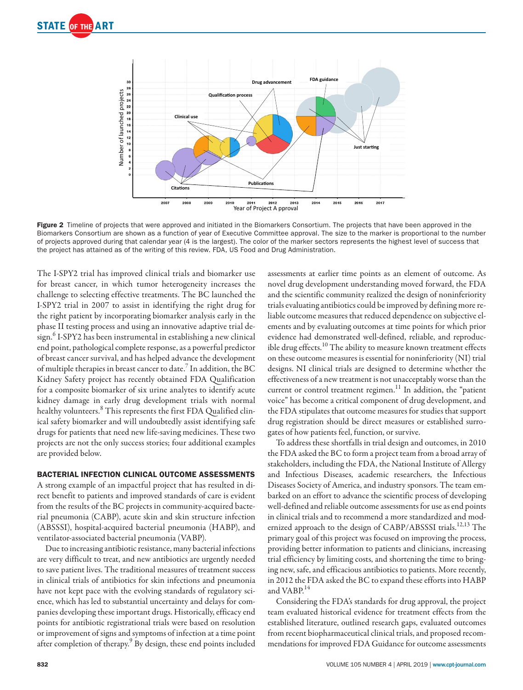

Figure 2 Timeline of projects that were approved and initiated in the Biomarkers Consortium. The projects that have been approved in the Biomarkers Consortium are shown as a function of year of Executive Committee approval. The size to the marker is proportional to the number of projects approved during that calendar year (4 is the largest). The color of the marker sectors represents the highest level of success that the project has attained as of the writing of this review. FDA, US Food and Drug Administration.

The I-SPY2 trial has improved clinical trials and biomarker use for breast cancer, in which tumor heterogeneity increases the challenge to selecting effective treatments. The BC launched the I-SPY2 trial in 2007 to assist in identifying the right drug for the right patient by incorporating biomarker analysis early in the phase II testing process and using an innovative adaptive trial de- $\sinh^6$  I-SPY2 has been instrumental in establishing a new clinical end point, pathological complete response, as a powerful predictor of breast cancer survival, and has helped advance the development of multiple therapies in breast cancer to date.  $\bar{7}$  In addition, the BC Kidney Safety project has recently obtained FDA Qualification for a composite biomarker of six urine analytes to identify acute kidney damage in early drug development trials with normal healthy volunteers.<sup>8</sup> This represents the first FDA Qualified clinical safety biomarker and will undoubtedly assist identifying safe drugs for patients that need new life-saving medicines. These two projects are not the only success stories; four additional examples are provided below.

## BACTERIAL INFECTION CLINICAL OUTCOME ASSESSMENTS

A strong example of an impactful project that has resulted in direct benefit to patients and improved standards of care is evident from the results of the BC projects in community-acquired bacterial pneumonia (CABP), acute skin and skin structure infection (ABSSSI), hospital-acquired bacterial pneumonia (HABP), and ventilator-associated bacterial pneumonia (VABP).

Due to increasing antibiotic resistance, many bacterial infections are very difficult to treat, and new antibiotics are urgently needed to save patient lives. The traditional measures of treatment success in clinical trials of antibiotics for skin infections and pneumonia have not kept pace with the evolving standards of regulatory science, which has led to substantial uncertainty and delays for companies developing these important drugs. Historically, efficacy end points for antibiotic registrational trials were based on resolution or improvement of signs and symptoms of infection at a time point after completion of therapy.<sup>9</sup> By design, these end points included assessments at earlier time points as an element of outcome. As novel drug development understanding moved forward, the FDA and the scientific community realized the design of noninferiority trials evaluating antibiotics could be improved by defining more reliable outcome measures that reduced dependence on subjective elements and by evaluating outcomes at time points for which prior evidence had demonstrated well-defined, reliable, and reproducible drug effects.<sup>10</sup> The ability to measure known treatment effects on these outcome measures is essential for noninferiority (NI) trial designs. NI clinical trials are designed to determine whether the effectiveness of a new treatment is not unacceptably worse than the current or control treatment regimen.<sup>11</sup> In addition, the "patient voice" has become a critical component of drug development, and the FDA stipulates that outcome measures for studies that support drug registration should be direct measures or established surrogates of how patients feel, function, or survive.

To address these shortfalls in trial design and outcomes, in 2010 the FDA asked the BC to form a project team from a broad array of stakeholders, including the FDA, the National Institute of Allergy and Infectious Diseases, academic researchers, the Infectious Diseases Society of America, and industry sponsors. The team embarked on an effort to advance the scientific process of developing well-defined and reliable outcome assessments for use as end points in clinical trials and to recommend a more standardized and modernized approach to the design of CABP/ABSSSI trials.<sup>12,13</sup> The primary goal of this project was focused on improving the process, providing better information to patients and clinicians, increasing trial efficiency by limiting costs, and shortening the time to bringing new, safe, and efficacious antibiotics to patients. More recently, in 2012 the FDA asked the BC to expand these efforts into HABP and VABP.<sup>14</sup>

Considering the FDA's standards for drug approval, the project team evaluated historical evidence for treatment effects from the established literature, outlined research gaps, evaluated outcomes from recent biopharmaceutical clinical trials, and proposed recommendations for improved FDA Guidance for outcome assessments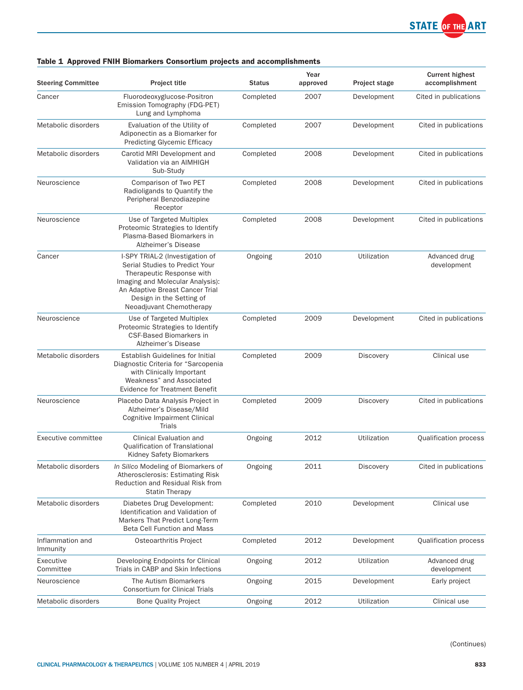

# Table 1 Approved FNIH Biomarkers Consortium projects and accomplishments

| <b>Steering Committee</b>    | <b>Project title</b>                                                                                                                                                                                                          | <b>Status</b> | Year<br>approved | <b>Project stage</b> | <b>Current highest</b><br>accomplishment |
|------------------------------|-------------------------------------------------------------------------------------------------------------------------------------------------------------------------------------------------------------------------------|---------------|------------------|----------------------|------------------------------------------|
| Cancer                       | Fluorodeoxyglucose-Positron<br>Emission Tomography (FDG-PET)<br>Lung and Lymphoma                                                                                                                                             | Completed     | 2007             | Development          | Cited in publications                    |
| Metabolic disorders          | Evaluation of the Utility of<br>Adiponectin as a Biomarker for<br><b>Predicting Glycemic Efficacy</b>                                                                                                                         | Completed     | 2007             | Development          | Cited in publications                    |
| Metabolic disorders          | Carotid MRI Development and<br>Validation via an AIMHIGH<br>Sub-Study                                                                                                                                                         | Completed     | 2008             | Development          | Cited in publications                    |
| Neuroscience                 | Comparison of Two PET<br>Radioligands to Quantify the<br>Peripheral Benzodiazepine<br>Receptor                                                                                                                                | Completed     | 2008             | Development          | Cited in publications                    |
| Neuroscience                 | Use of Targeted Multiplex<br>Proteomic Strategies to Identify<br>Plasma-Based Biomarkers in<br>Alzheimer's Disease                                                                                                            | Completed     | 2008             | Development          | Cited in publications                    |
| Cancer                       | I-SPY TRIAL-2 (Investigation of<br>Serial Studies to Predict Your<br>Therapeutic Response with<br>Imaging and Molecular Analysis):<br>An Adaptive Breast Cancer Trial<br>Design in the Setting of<br>Neoadjuvant Chemotherapy | Ongoing       | 2010             | Utilization          | Advanced drug<br>development             |
| Neuroscience                 | Use of Targeted Multiplex<br>Proteomic Strategies to Identify<br><b>CSF-Based Biomarkers in</b><br>Alzheimer's Disease                                                                                                        | Completed     | 2009             | Development          | Cited in publications                    |
| Metabolic disorders          | <b>Establish Guidelines for Initial</b><br>Diagnostic Criteria for "Sarcopenia<br>with Clinically Important<br>Weakness" and Associated<br><b>Evidence for Treatment Benefit</b>                                              | Completed     | 2009             | <b>Discovery</b>     | Clinical use                             |
| Neuroscience                 | Placebo Data Analysis Project in<br>Alzheimer's Disease/Mild<br>Cognitive Impairment Clinical<br>Trials                                                                                                                       | Completed     | 2009             | Discovery            | Cited in publications                    |
| Executive committee          | Clinical Evaluation and<br>Qualification of Translational<br>Kidney Safety Biomarkers                                                                                                                                         | Ongoing       | 2012             | Utilization          | Qualification process                    |
| Metabolic disorders          | In Silico Modeling of Biomarkers of<br>Atherosclerosis: Estimating Risk<br>Reduction and Residual Risk from<br><b>Statin Therapy</b>                                                                                          | Ongoing       | 2011             | Discovery            | Cited in publications                    |
| Metabolic disorders          | Diabetes Drug Development:<br>Identification and Validation of<br>Markers That Predict Long-Term<br><b>Beta Cell Function and Mass</b>                                                                                        | Completed     | 2010             | Development          | Clinical use                             |
| Inflammation and<br>Immunity | Osteoarthritis Project                                                                                                                                                                                                        | Completed     | 2012             | Development          | <b>Qualification process</b>             |
| Executive<br>Committee       | Developing Endpoints for Clinical<br>Trials in CABP and Skin Infections                                                                                                                                                       | Ongoing       | 2012             | Utilization          | Advanced drug<br>development             |
| Neuroscience                 | The Autism Biomarkers<br><b>Consortium for Clinical Trials</b>                                                                                                                                                                | Ongoing       | 2015             | Development          | Early project                            |
| Metabolic disorders          | <b>Bone Quality Project</b>                                                                                                                                                                                                   | Ongoing       | 2012             | Utilization          | Clinical use                             |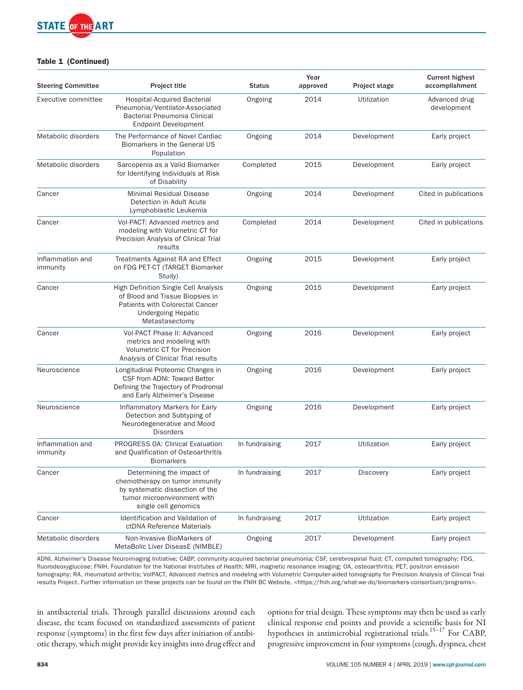

## Table 1 (Continued)

| <b>Steering Committee</b>    | <b>Project title</b>                                                                                                                                             | <b>Status</b>  | Year<br>approved | Project stage | <b>Current highest</b><br>accomplishment |
|------------------------------|------------------------------------------------------------------------------------------------------------------------------------------------------------------|----------------|------------------|---------------|------------------------------------------|
| Executive committee          | <b>Hospital-Acquired Bacterial</b><br>Pneumonia/Ventilator-Associated<br>Bacterial Pneumonia Clinical<br><b>Endpoint Development</b>                             | Ongoing        | 2014             | Utilization   | Advanced drug<br>development             |
| Metabolic disorders          | The Performance of Novel Cardiac<br>Biomarkers in the General US<br>Population                                                                                   | Ongoing        | 2014             | Development   | Early project                            |
| Metabolic disorders          | Sarcopenia as a Valid Biomarker<br>for Identifying Individuals at Risk<br>of Disability                                                                          | Completed      | 2015             | Development   | Early project                            |
| Cancer                       | <b>Minimal Residual Disease</b><br>Detection in Adult Acute<br>Lymphoblastic Leukemia                                                                            | Ongoing        | 2014             | Development   | Cited in publications                    |
| Cancer                       | Vol-PACT: Advanced metrics and<br>modeling with Volumetric CT for<br>Precision Analysis of Clinical Trial<br>results                                             | Completed      | 2014             | Development   | Cited in publications                    |
| Inflammation and<br>immunity | Treatments Against RA and Effect<br>on FDG PET-CT (TARGET Biomarker<br>Study)                                                                                    | Ongoing        | 2015             | Development   | Early project                            |
| Cancer                       | High Definition Single Cell Analysis<br>of Blood and Tissue Biopsies in<br><b>Patients with Colorectal Cancer</b><br><b>Undergoing Hepatic</b><br>Metastasectomy | Ongoing        | 2015             | Development   | Early project                            |
| Cancer                       | Vol-PACT Phase II: Advanced<br>metrics and modeling with<br>Volumetric CT for Precision<br>Analysis of Clinical Trial results                                    | Ongoing        | 2016             | Development   | Early project                            |
| Neuroscience                 | Longitudinal Proteomic Changes in<br>CSF from ADNI: Toward Better<br>Defining the Trajectory of Prodromal<br>and Early Alzheimer's Disease                       | Ongoing        | 2016             | Development   | Early project                            |
| Neuroscience                 | Inflammatory Markers for Early<br>Detection and Subtyping of<br>Neurodegenerative and Mood<br><b>Disorders</b>                                                   | Ongoing        | 2016             | Development   | Early project                            |
| Inflammation and<br>immunity | PROGRESS OA: Clinical Evaluation<br>and Qualification of Osteoarthritis<br><b>Biomarkers</b>                                                                     | In fundraising | 2017             | Utilization   | Early project                            |
| Cancer                       | Determining the impact of<br>chemotherapy on tumor immunity<br>by systematic dissection of the<br>tumor microenvironment with<br>single cell genomics            | In fundraising | 2017             | Discovery     | Early project                            |
| Cancer                       | Identification and Validation of<br>ctDNA Reference Materials                                                                                                    | In fundraising | 2017             | Utilization   | Early project                            |
| Metabolic disorders          | Non-Invasive BioMarkers of<br>MetaBolic Liver DiseasE (NIMBLE)                                                                                                   | Ongoing        | 2017             | Development   | Early project                            |

ADNI, Alzheimer's Disease Neuroimaging Initiative; CABP, community-acquired bacterial pneumonia; CSF, cerebrospinal fluid; CT, computed tomography; FDG, fluorodeoxyglucose; FNIH, Foundation for the National Institutes of Health; MRI, magnetic resonance imaging; OA, osteoarthritis; PET, positron emission tomography; RA, rheumatoid arthritis; VolPACT, Advanced metrics and modeling with Volumetric Computer-aided tomography for Precision Analysis of Clinical Trial results Project. Further information on these projects can be found on the FNIH BC Website, [<https://fnih.org/what-we-do/biomarkers-consortium/programs>](https://fnih.org/what-we-do/biomarkers-consortium/programs).

in antibacterial trials. Through parallel discussions around each disease, the team focused on standardized assessments of patient response (symptoms) in the first few days after initiation of antibiotic therapy, which might provide key insights into drug effect and options for trial design. These symptoms may then be used as early clinical response end points and provide a scientific basis for NI hypotheses in antimicrobial registrational trials.<sup>15-17</sup> For CABP, progressive improvement in four symptoms (cough, dyspnea, chest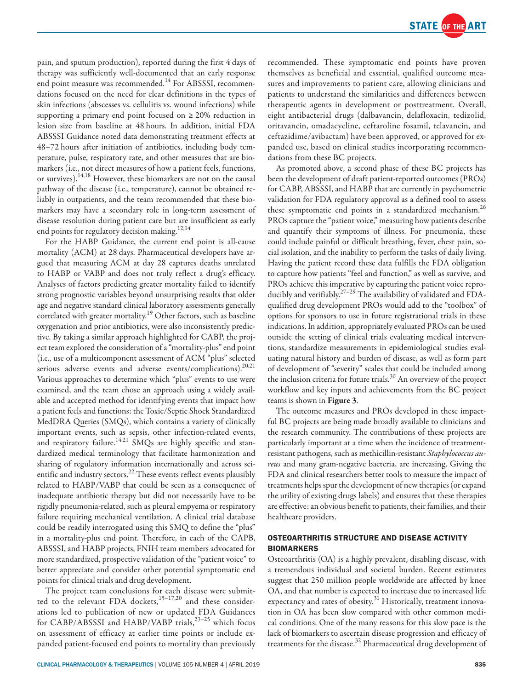

pain, and sputum production), reported during the first 4 days of therapy was sufficiently well-documented that an early response end point measure was recommended.<sup>14</sup> For ABSSSI, recommendations focused on the need for clear definitions in the types of skin infections (abscesses vs. cellulitis vs. wound infections) while supporting a primary end point focused on ≥ 20% reduction in lesion size from baseline at 48 hours. In addition, initial FDA ABSSSI Guidance noted data demonstrating treatment effects at 48–72 hours after initiation of antibiotics, including body temperature, pulse, respiratory rate, and other measures that are biomarkers (i.e., not direct measures of how a patient feels, functions, or survives).<sup>14,18</sup> However, these biomarkers are not on the causal pathway of the disease (i.e., temperature), cannot be obtained reliably in outpatients, and the team recommended that these biomarkers may have a secondary role in long-term assessment of disease resolution during patient care but are insufficient as early end points for regulatory decision making.<sup>12,14</sup>

For the HABP Guidance, the current end point is all-cause mortality (ACM) at 28 days. Pharmaceutical developers have argued that measuring ACM at day 28 captures deaths unrelated to HABP or VABP and does not truly reflect a drug's efficacy. Analyses of factors predicting greater mortality failed to identify strong prognostic variables beyond unsurprising results that older age and negative standard clinical laboratory assessments generally correlated with greater mortality.<sup>19</sup> Other factors, such as baseline oxygenation and prior antibiotics, were also inconsistently predictive. By taking a similar approach highlighted for CABP, the project team explored the consideration of a "mortality-plus" end point (i.e., use of a multicomponent assessment of ACM "plus" selected serious adverse events and adverse events/complications).<sup>20,21</sup> Various approaches to determine which "plus" events to use were examined, and the team chose an approach using a widely available and accepted method for identifying events that impact how a patient feels and functions: the Toxic/Septic Shock Standardized MedDRA Queries (SMQs), which contains a variety of clinically important events, such as sepsis, other infection-related events, and respiratory failure.<sup>14,21</sup> SMQs are highly specific and standardized medical terminology that facilitate harmonization and sharing of regulatory information internationally and across scientific and industry sectors.22 These events reflect events plausibly related to HABP/VABP that could be seen as a consequence of inadequate antibiotic therapy but did not necessarily have to be rigidly pneumonia-related, such as pleural empyema or respiratory failure requiring mechanical ventilation. A clinical trial database could be readily interrogated using this SMQ to define the "plus" in a mortality-plus end point. Therefore, in each of the CAPB, ABSSSI, and HABP projects, FNIH team members advocated for more standardized, prospective validation of the "patient voice" to better appreciate and consider other potential symptomatic end points for clinical trials and drug development.

The project team conclusions for each disease were submitted to the relevant FDA dockets,<sup>15-17,20</sup> and these considerations led to publication of new or updated FDA Guidances for CABP/ABSSSI and HABP/VABP trials,<sup>23-25</sup> which focus on assessment of efficacy at earlier time points or include expanded patient-focused end points to mortality than previously recommended. These symptomatic end points have proven themselves as beneficial and essential, qualified outcome measures and improvements to patient care, allowing clinicians and patients to understand the similarities and differences between therapeutic agents in development or posttreatment. Overall, eight antibacterial drugs (dalbavancin, delafloxacin, tedizolid, oritavancin, omadacycline, ceftaroline fosamil, telavancin, and ceftazidime/avibactam) have been approved, or approved for expanded use, based on clinical studies incorporating recommendations from these BC projects.

As promoted above, a second phase of these BC projects has been the development of draft patient-reported outcomes (PROs) for CABP, ABSSSI, and HABP that are currently in psychometric validation for FDA regulatory approval as a defined tool to assess these symptomatic end points in a standardized mechanism.<sup>26</sup> PROs capture the "patient voice," measuring how patients describe and quantify their symptoms of illness. For pneumonia, these could include painful or difficult breathing, fever, chest pain, social isolation, and the inability to perform the tasks of daily living. Having the patient record these data fulfills the FDA obligation to capture how patients "feel and function," as well as survive, and PROs achieve this imperative by capturing the patient voice reproducibly and verifiably.27–29 The availability of validated and FDAqualified drug development PROs would add to the "toolbox" of options for sponsors to use in future registrational trials in these indications. In addition, appropriately evaluated PROs can be used outside the setting of clinical trials evaluating medical interventions, standardize measurements in epidemiological studies evaluating natural history and burden of disease, as well as form part of development of "severity" scales that could be included among the inclusion criteria for future trials. $30$  An overview of the project workflow and key inputs and achievements from the BC project teams is shown in Figure 3.

The outcome measures and PROs developed in these impactful BC projects are being made broadly available to clinicians and the research community. The contributions of these projects are particularly important at a time when the incidence of treatmentresistant pathogens, such as methicillin-resistant *Staphylococcus aureus* and many gram-negative bacteria, are increasing. Giving the FDA and clinical researchers better tools to measure the impact of treatments helps spur the development of new therapies (or expand the utility of existing drugs labels) and ensures that these therapies are effective: an obvious benefit to patients, their families, and their healthcare providers.

## OSTEOARTHRITIS STRUCTURE AND DISEASE ACTIVITY BIOMARKERS

Osteoarthritis (OA) is a highly prevalent, disabling disease, with a tremendous individual and societal burden. Recent estimates suggest that 250 million people worldwide are affected by knee OA, and that number is expected to increase due to increased life expectancy and rates of obesity. $^{31}$  Historically, treatment innovation in OA has been slow compared with other common medical conditions. One of the many reasons for this slow pace is the lack of biomarkers to ascertain disease progression and efficacy of treatments for the disease.<sup>32</sup> Pharmaceutical drug development of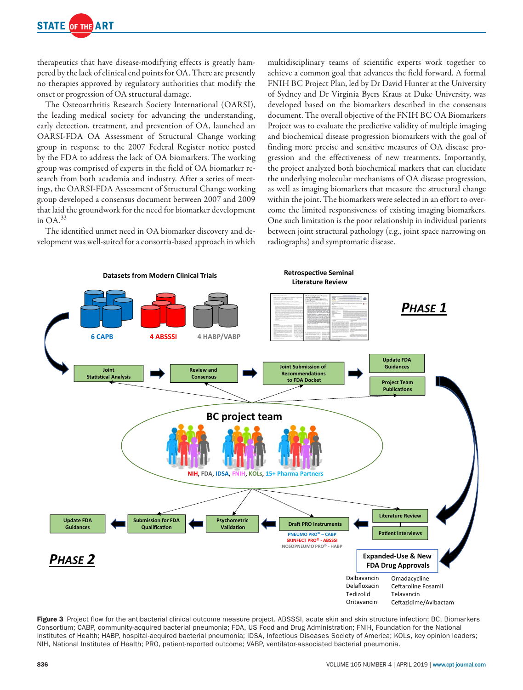

therapeutics that have disease-modifying effects is greatly hampered by the lack of clinical end points for OA. There are presently no therapies approved by regulatory authorities that modify the onset or progression of OA structural damage.

The Osteoarthritis Research Society International (OARSI), the leading medical society for advancing the understanding, early detection, treatment, and prevention of OA, launched an OARSI-FDA OA Assessment of Structural Change working group in response to the 2007 Federal Register notice posted by the FDA to address the lack of OA biomarkers. The working group was comprised of experts in the field of OA biomarker research from both academia and industry. After a series of meetings, the OARSI-FDA Assessment of Structural Change working group developed a consensus document between 2007 and 2009 that laid the groundwork for the need for biomarker development in  $OA.<sup>33</sup>$ 

The identified unmet need in OA biomarker discovery and development was well-suited for a consortia-based approach in which multidisciplinary teams of scientific experts work together to achieve a common goal that advances the field forward. A formal FNIH BC Project Plan, led by Dr David Hunter at the University of Sydney and Dr Virginia Byers Kraus at Duke University, was developed based on the biomarkers described in the consensus document. The overall objective of the FNIH BC OA Biomarkers Project was to evaluate the predictive validity of multiple imaging and biochemical disease progression biomarkers with the goal of finding more precise and sensitive measures of OA disease progression and the effectiveness of new treatments. Importantly, the project analyzed both biochemical markers that can elucidate the underlying molecular mechanisms of OA disease progression, as well as imaging biomarkers that measure the structural change within the joint. The biomarkers were selected in an effort to overcome the limited responsiveness of existing imaging biomarkers. One such limitation is the poor relationship in individual patients between joint structural pathology (e.g., joint space narrowing on radiographs) and symptomatic disease.



Figure 3 Project flow for the antibacterial clinical outcome measure project. ABSSSI, acute skin and skin structure infection; BC, Biomarkers Consortium; CABP, community-acquired bacterial pneumonia; FDA, US Food and Drug Administration; FNIH, Foundation for the National Institutes of Health; HABP, hospital-acquired bacterial pneumonia; IDSA, Infectious Diseases Society of America; KOLs, key opinion leaders; NIH, National Institutes of Health; PRO, patient-reported outcome; VABP, ventilator-associated bacterial pneumonia.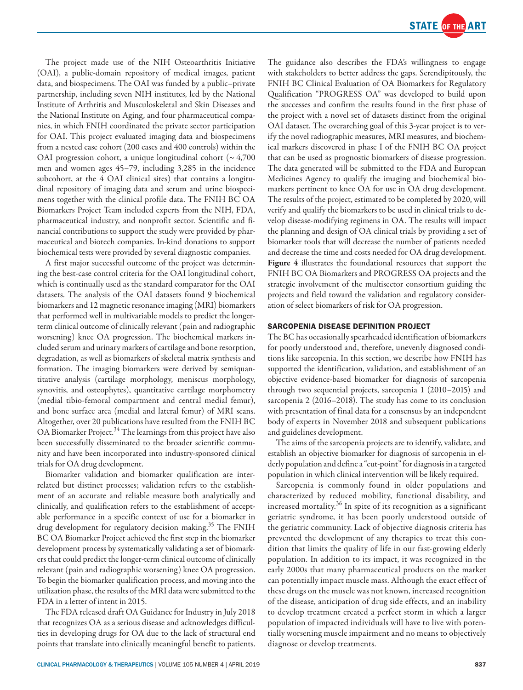

The project made use of the NIH Osteoarthritis Initiative (OAI), a public-domain repository of medical images, patient data, and biospecimens. The OAI was funded by a public–private partnership, including seven NIH institutes, led by the National Institute of Arthritis and Musculoskeletal and Skin Diseases and the National Institute on Aging, and four pharmaceutical companies, in which FNIH coordinated the private sector participation for OAI. This project evaluated imaging data and biospecimens from a nested case cohort (200 cases and 400 controls) within the OAI progression cohort, a unique longitudinal cohort ( $\sim 4,700$ men and women ages 45–79, including 3,285 in the incidence subcohort, at the 4 OAI clinical sites) that contains a longitudinal repository of imaging data and serum and urine biospecimens together with the clinical profile data. The FNIH BC OA Biomarkers Project Team included experts from the NIH, FDA, pharmaceutical industry, and nonprofit sector. Scientific and financial contributions to support the study were provided by pharmaceutical and biotech companies. In-kind donations to support biochemical tests were provided by several diagnostic companies.

A first major successful outcome of the project was determining the best-case control criteria for the OAI longitudinal cohort, which is continually used as the standard comparator for the OAI datasets. The analysis of the OAI datasets found 9 biochemical biomarkers and 12 magnetic resonance imaging (MRI) biomarkers that performed well in multivariable models to predict the longerterm clinical outcome of clinically relevant (pain and radiographic worsening) knee OA progression. The biochemical markers included serum and urinary markers of cartilage and bone resorption, degradation, as well as biomarkers of skeletal matrix synthesis and formation. The imaging biomarkers were derived by semiquantitative analysis (cartilage morphology, meniscus morphology, synovitis, and osteophytes), quantitative cartilage morphometry (medial tibio-femoral compartment and central medial femur), and bone surface area (medial and lateral femur) of MRI scans. Altogether, over 20 publications have resulted from the FNIH BC OA Biomarker Project.<sup>34</sup> The learnings from this project have also been successfully disseminated to the broader scientific community and have been incorporated into industry-sponsored clinical trials for OA drug development.

Biomarker validation and biomarker qualification are interrelated but distinct processes; validation refers to the establishment of an accurate and reliable measure both analytically and clinically, and qualification refers to the establishment of acceptable performance in a specific context of use for a biomarker in drug development for regulatory decision making.<sup>35</sup> The FNIH BC OA Biomarker Project achieved the first step in the biomarker development process by systematically validating a set of biomarkers that could predict the longer-term clinical outcome of clinically relevant (pain and radiographic worsening) knee OA progression. To begin the biomarker qualification process, and moving into the utilization phase, the results of the MRI data were submitted to the FDA in a letter of intent in 2015.

The FDA released draft OA Guidance for Industry in July 2018 that recognizes OA as a serious disease and acknowledges difficulties in developing drugs for OA due to the lack of structural end points that translate into clinically meaningful benefit to patients.

The guidance also describes the FDA's willingness to engage with stakeholders to better address the gaps. Serendipitously, the FNIH BC Clinical Evaluation of OA Biomarkers for Regulatory Qualification "PROGRESS OA" was developed to build upon the successes and confirm the results found in the first phase of the project with a novel set of datasets distinct from the original OAI dataset. The overarching goal of this 3-year project is to verify the novel radiographic measures, MRI measures, and biochemical markers discovered in phase I of the FNIH BC OA project that can be used as prognostic biomarkers of disease progression. The data generated will be submitted to the FDA and European Medicines Agency to qualify the imaging and biochemical biomarkers pertinent to knee OA for use in OA drug development. The results of the project, estimated to be completed by 2020, will verify and qualify the biomarkers to be used in clinical trials to develop disease-modifying regimens in OA. The results will impact the planning and design of OA clinical trials by providing a set of biomarker tools that will decrease the number of patients needed and decrease the time and costs needed for OA drug development. Figure 4 illustrates the foundational resources that support the FNIH BC OA Biomarkers and PROGRESS OA projects and the strategic involvement of the multisector consortium guiding the projects and field toward the validation and regulatory consideration of select biomarkers of risk for OA progression.

#### SARCOPENIA DISEASE DEFINITION PROJECT

The BC has occasionally spearheaded identification of biomarkers for poorly understood and, therefore, unevenly diagnosed conditions like sarcopenia. In this section, we describe how FNIH has supported the identification, validation, and establishment of an objective evidence-based biomarker for diagnosis of sarcopenia through two sequential projects, sarcopenia 1 (2010–2015) and sarcopenia 2 (2016–2018). The study has come to its conclusion with presentation of final data for a consensus by an independent body of experts in November 2018 and subsequent publications and guidelines development.

The aims of the sarcopenia projects are to identify, validate, and establish an objective biomarker for diagnosis of sarcopenia in elderly population and define a "cut-point" for diagnosis in a targeted population in which clinical intervention will be likely required.

Sarcopenia is commonly found in older populations and characterized by reduced mobility, functional disability, and increased mortality. $36$  In spite of its recognition as a significant geriatric syndrome, it has been poorly understood outside of the geriatric community. Lack of objective diagnosis criteria has prevented the development of any therapies to treat this condition that limits the quality of life in our fast-growing elderly population. In addition to its impact, it was recognized in the early 2000s that many pharmaceutical products on the market can potentially impact muscle mass. Although the exact effect of these drugs on the muscle was not known, increased recognition of the disease, anticipation of drug side effects, and an inability to develop treatment created a perfect storm in which a larger population of impacted individuals will have to live with potentially worsening muscle impairment and no means to objectively diagnose or develop treatments.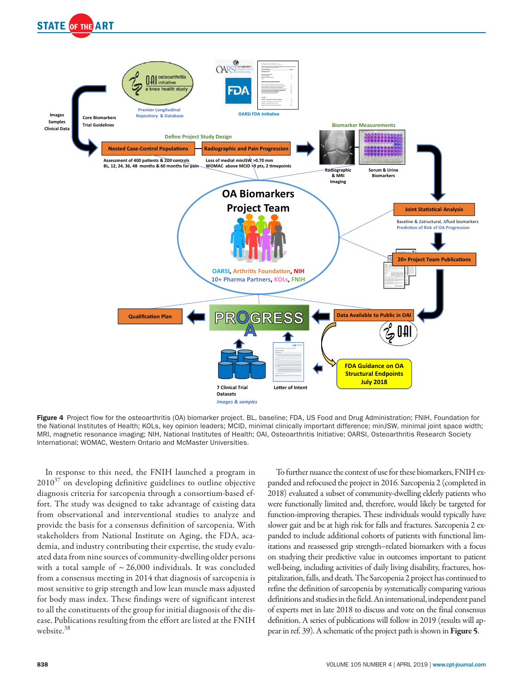



Figure 4 Project flow for the osteoarthritis (OA) biomarker project. BL, baseline; FDA, US Food and Drug Administration; FNIH, Foundation for the National Institutes of Health; KOLs, key opinion leaders; MCID, minimal clinically important difference; minJSW, minimal joint space width; MRI, magnetic resonance imaging; NIH, National Institutes of Health; OAI, Osteoarthritis Initiative; OARSI, Osteoarthritis Research Society International; WOMAC, Western Ontario and McMaster Universities.

In response to this need, the FNIH launched a program in  $2010^{37}$  on developing definitive guidelines to outline objective diagnosis criteria for sarcopenia through a consortium-based effort. The study was designed to take advantage of existing data from observational and interventional studies to analyze and provide the basis for a consensus definition of sarcopenia. With stakeholders from National Institute on Aging, the FDA, academia, and industry contributing their expertise, the study evaluated data from nine sources of community-dwelling older persons with a total sample of  $\sim$  26,000 individuals. It was concluded from a consensus meeting in 2014 that diagnosis of sarcopenia is most sensitive to grip strength and low lean muscle mass adjusted for body mass index. These findings were of significant interest to all the constituents of the group for initial diagnosis of the disease. Publications resulting from the effort are listed at the FNIH website.<sup>38</sup>

To further nuance the context of use for these biomarkers, FNIH expanded and refocused the project in 2016. Sarcopenia 2 (completed in 2018) evaluated a subset of community-dwelling elderly patients who were functionally limited and, therefore, would likely be targeted for function-improving therapies. These individuals would typically have slower gait and be at high risk for falls and fractures. Sarcopenia 2 expanded to include additional cohorts of patients with functional limitations and reassessed grip strength–related biomarkers with a focus on studying their predictive value in outcomes important to patient well-being, including activities of daily living disability, fractures, hospitalization, falls, and death. The Sarcopenia 2 project has continued to refine the definition of sarcopenia by systematically comparing various definitions and studies in the field. An international, independent panel of experts met in late 2018 to discuss and vote on the final consensus definition. A series of publications will follow in 2019 (results will appear in ref. 39). A schematic of the project path is shown in Figure 5.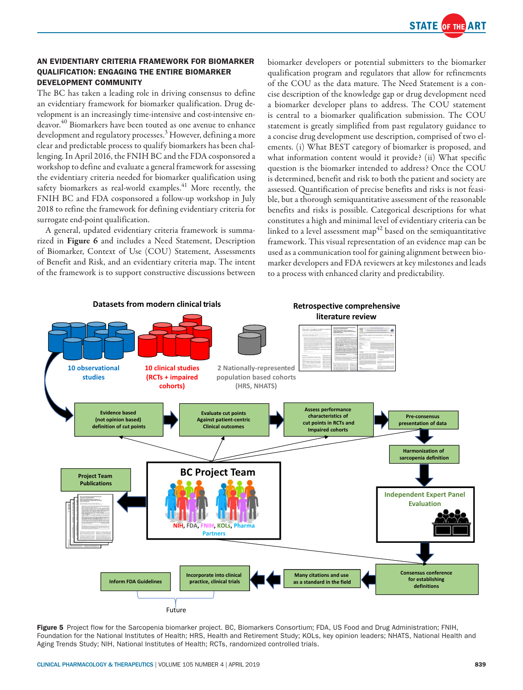

## AN EVIDENTIARY CRITERIA FRAMEWORK FOR BIOMARKER QUALIFICATION: ENGAGING THE ENTIRE BIOMARKER DEVELOPMENT COMMUNITY

The BC has taken a leading role in driving consensus to define an evidentiary framework for biomarker qualification. Drug development is an increasingly time-intensive and cost-intensive endeavor.<sup>40</sup> Biomarkers have been touted as one avenue to enhance development and regulatory processes.<sup>3</sup> However, defining a more clear and predictable process to qualify biomarkers has been challenging. In April 2016, the FNIH BC and the FDA cosponsored a workshop to define and evaluate a general framework for assessing the evidentiary criteria needed for biomarker qualification using safety biomarkers as real-world examples.<sup>41</sup> More recently, the FNIH BC and FDA cosponsored a follow-up workshop in July 2018 to refine the framework for defining evidentiary criteria for surrogate end-point qualification.

A general, updated evidentiary criteria framework is summarized in Figure 6 and includes a Need Statement, Description of Biomarker, Context of Use (COU) Statement, Assessments of Benefit and Risk, and an evidentiary criteria map. The intent of the framework is to support constructive discussions between biomarker developers or potential submitters to the biomarker qualification program and regulators that allow for refinements of the COU as the data mature. The Need Statement is a concise description of the knowledge gap or drug development need a biomarker developer plans to address. The COU statement is central to a biomarker qualification submission. The COU statement is greatly simplified from past regulatory guidance to a concise drug development use description, comprised of two elements. (i) What BEST category of biomarker is proposed, and what information content would it provide? (ii) What specific question is the biomarker intended to address? Once the COU is determined, benefit and risk to both the patient and society are assessed. Quantification of precise benefits and risks is not feasible, but a thorough semiquantitative assessment of the reasonable benefits and risks is possible. Categorical descriptions for what constitutes a high and minimal level of evidentiary criteria can be linked to a level assessment map<sup> $42$ </sup> based on the semiquantitative framework. This visual representation of an evidence map can be used as a communication tool for gaining alignment between biomarker developers and FDA reviewers at key milestones and leads to a process with enhanced clarity and predictability.



Figure 5 Project flow for the Sarcopenia biomarker project. BC, Biomarkers Consortium; FDA, US Food and Drug Administration; FNIH, Foundation for the National Institutes of Health; HRS, Health and Retirement Study; KOLs, key opinion leaders; NHATS, National Health and Aging Trends Study; NIH, National Institutes of Health; RCTs, randomized controlled trials.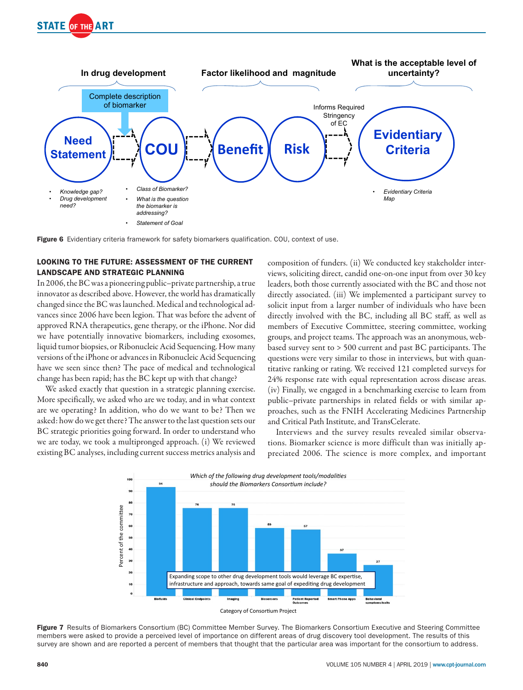



Figure 6 Evidentiary criteria framework for safety biomarkers qualification. COU, context of use.

## LOOKING TO THE FUTURE: ASSESSMENT OF THE CURRENT LANDSCAPE AND STRATEGIC PLANNING

In 2006, the BC was a pioneering public–private partnership, a true innovator as described above. However, the world has dramatically changed since the BC was launched. Medical and technological advances since 2006 have been legion. That was before the advent of approved RNA therapeutics, gene therapy, or the iPhone. Nor did we have potentially innovative biomarkers, including exosomes, liquid tumor biopsies, or Ribonucleic Acid Sequencing. How many versions of the iPhone or advances in Ribonucleic Acid Sequencing have we seen since then? The pace of medical and technological change has been rapid; has the BC kept up with that change?

We asked exactly that question in a strategic planning exercise. More specifically, we asked who are we today, and in what context are we operating? In addition, who do we want to be? Then we asked: how do we get there? The answer to the last question sets our BC strategic priorities going forward. In order to understand who we are today, we took a multipronged approach. (i) We reviewed existing BC analyses, including current success metrics analysis and composition of funders. (ii) We conducted key stakeholder interviews, soliciting direct, candid one-on-one input from over 30 key leaders, both those currently associated with the BC and those not directly associated. (iii) We implemented a participant survey to solicit input from a larger number of individuals who have been directly involved with the BC, including all BC staff, as well as members of Executive Committee, steering committee, working groups, and project teams. The approach was an anonymous, webbased survey sent to > 500 current and past BC participants. The questions were very similar to those in interviews, but with quantitative ranking or rating. We received 121 completed surveys for 24% response rate with equal representation across disease areas. (iv) Finally, we engaged in a benchmarking exercise to learn from public–private partnerships in related fields or with similar approaches, such as the FNIH Accelerating Medicines Partnership and Critical Path Institute, and TransCelerate.

Interviews and the survey results revealed similar observations. Biomarker science is more difficult than was initially appreciated 2006. The science is more complex, and important





Figure 7 Results of Biomarkers Consortium (BC) Committee Member Survey. The Biomarkers Consortium Executive and Steering Committee members were asked to provide a perceived level of importance on different areas of drug discovery tool development. The results of this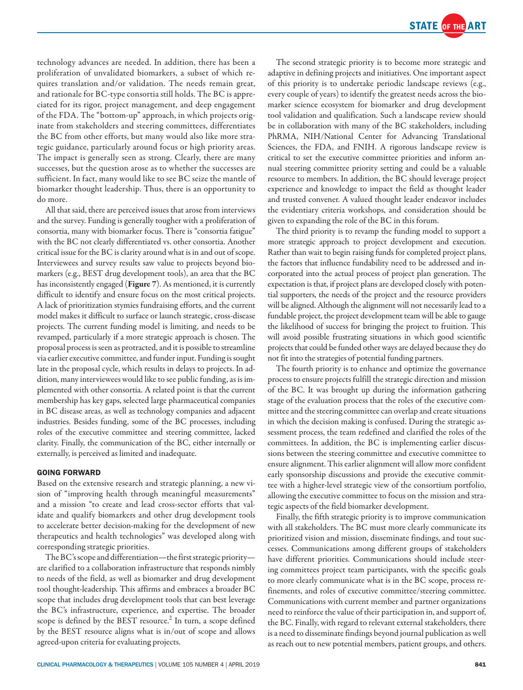technology advances are needed. In addition, there has been a proliferation of unvalidated biomarkers, a subset of which requires translation and/or validation. The needs remain great, and rationale for BC-type consortia still holds. The BC is appreciated for its rigor, project management, and deep engagement of the FDA. The "bottom-up" approach, in which projects originate from stakeholders and steering committees, differentiates the BC from other efforts, but many would also like more strategic guidance, particularly around focus or high priority areas. The impact is generally seen as strong. Clearly, there are many successes, but the question arose as to whether the successes are sufficient. In fact, many would like to see BC seize the mantle of biomarker thought leadership. Thus, there is an opportunity to do more.

All that said, there are perceived issues that arose from interviews and the survey. Funding is generally tougher with a proliferation of consortia, many with biomarker focus. There is "consortia fatigue" with the BC not clearly differentiated vs. other consortia. Another critical issue for the BC is clarity around what is in and out of scope. Interviewees and survey results saw value to projects beyond biomarkers (e.g., BEST drug development tools), an area that the BC has inconsistently engaged (Figure 7). As mentioned, it is currently difficult to identify and ensure focus on the most critical projects. A lack of prioritization stymies fundraising efforts, and the current model makes it difficult to surface or launch strategic, cross-disease projects. The current funding model is limiting, and needs to be revamped, particularly if a more strategic approach is chosen. The proposal process is seen as protracted, and it is possible to streamline via earlier executive committee, and funder input. Funding is sought late in the proposal cycle, which results in delays to projects. In addition, many interviewees would like to see public funding, as is implemented with other consortia. A related point is that the current membership has key gaps, selected large pharmaceutical companies in BC disease areas, as well as technology companies and adjacent industries. Besides funding, some of the BC processes, including roles of the executive committee and steering committee, lacked clarity. Finally, the communication of the BC, either internally or externally, is perceived as limited and inadequate.

### GOING FORWARD

Based on the extensive research and strategic planning, a new vision of "improving health through meaningful measurements" and a mission "to create and lead cross-sector efforts that validate and qualify biomarkers and other drug development tools to accelerate better decision-making for the development of new therapeutics and health technologies" was developed along with corresponding strategic priorities.

The BC's scope and differentiation—the first strategic priority are clarified to a collaboration infrastructure that responds nimbly to needs of the field, as well as biomarker and drug development tool thought-leadership. This affirms and embraces a broader BC scope that includes drug development tools that can best leverage the BC's infrastructure, experience, and expertise. The broader scope is defined by the BEST resource.<sup>2</sup> In turn, a scope defined by the BEST resource aligns what is in/out of scope and allows agreed-upon criteria for evaluating projects.

The second strategic priority is to become more strategic and adaptive in defining projects and initiatives. One important aspect of this priority is to undertake periodic landscape reviews (e.g., every couple of years) to identify the greatest needs across the biomarker science ecosystem for biomarker and drug development tool validation and qualification. Such a landscape review should be in collaboration with many of the BC stakeholders, including PhRMA, NIH/National Center for Advancing Translational Sciences, the FDA, and FNIH. A rigorous landscape review is critical to set the executive committee priorities and inform annual steering committee priority setting and could be a valuable resource to members. In addition, the BC should leverage project experience and knowledge to impact the field as thought leader and trusted convener. A valued thought leader endeavor includes the evidentiary criteria workshops, and consideration should be given to expanding the role of the BC in this forum.

The third priority is to revamp the funding model to support a more strategic approach to project development and execution. Rather than wait to begin raising funds for completed project plans, the factors that influence fundability need to be addressed and incorporated into the actual process of project plan generation. The expectation is that, if project plans are developed closely with potential supporters, the needs of the project and the resource providers will be aligned. Although the alignment will not necessarily lead to a fundable project, the project development team will be able to gauge the likelihood of success for bringing the project to fruition. This will avoid possible frustrating situations in which good scientific projects that could be funded other ways are delayed because they do not fit into the strategies of potential funding partners.

The fourth priority is to enhance and optimize the governance process to ensure projects fulfill the strategic direction and mission of the BC. It was brought up during the information gathering stage of the evaluation process that the roles of the executive committee and the steering committee can overlap and create situations in which the decision making is confused. During the strategic assessment process, the team redefined and clarified the roles of the committees. In addition, the BC is implementing earlier discussions between the steering committee and executive committee to ensure alignment. This earlier alignment will allow more confident early sponsorship discussions and provide the executive committee with a higher-level strategic view of the consortium portfolio, allowing the executive committee to focus on the mission and strategic aspects of the field biomarker development.

Finally, the fifth strategic priority is to improve communication with all stakeholders. The BC must more clearly communicate its prioritized vision and mission, disseminate findings, and tout successes. Communications among different groups of stakeholders have different priorities. Communications should include steering committees project team participants, with the specific goals to more clearly communicate what is in the BC scope, process refinements, and roles of executive committee/steering committee. Communications with current member and partner organizations need to reinforce the value of their participation in, and support of, the BC. Finally, with regard to relevant external stakeholders, there is a need to disseminate findings beyond journal publication as well as reach out to new potential members, patient groups, and others.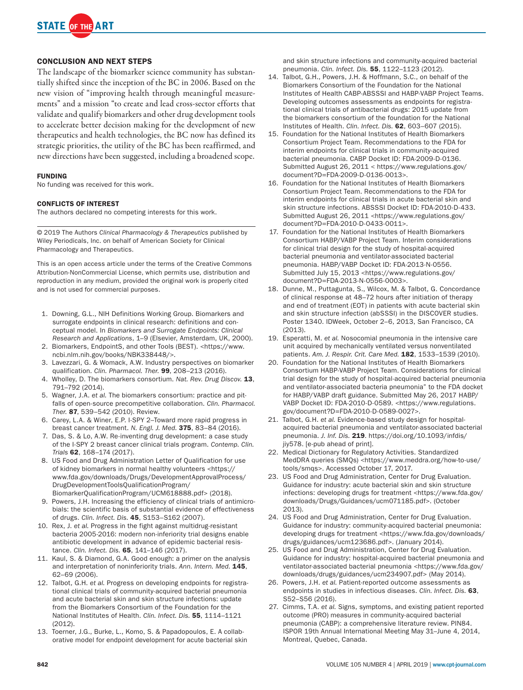

#### CONCLUSION AND NEXT STEPS

The landscape of the biomarker science community has substantially shifted since the inception of the BC in 2006. Based on the new vision of "improving health through meaningful measurements" and a mission "to create and lead cross-sector efforts that validate and qualify biomarkers and other drug development tools to accelerate better decision making for the development of new therapeutics and health technologies, the BC now has defined its strategic priorities, the utility of the BC has been reaffirmed, and new directions have been suggested, including a broadened scope.

#### FUNDING

No funding was received for this work.

#### CONFLICTS OF INTEREST

The authors declared no competing interests for this work.

© 2019 The Authors *Clinical Pharmacology & Therapeutics* published by Wiley Periodicals, Inc. on behalf of American Society for Clinical Pharmacology and Therapeutics.

This is an open access article under the terms of the Creative Commons Attribution-NonCommercial License, which permits use, distribution and reproduction in any medium, provided the original work is properly cited and is not used for commercial purposes.

- 1. Downing, G.L., NIH Definitions Working Group. Biomarkers and surrogate endpoints in clinical research: definitions and conceptual model. In *Biomarkers and Surrogate Endpoints: Clinical Research and Applications*, 1–9 (Elsevier, Amsterdam, UK, 2000).
- 2. Biomarkers, EndpointS, and other Tools (BEST). [<https://www.](https://www.ncbi.nlm.nih.gov/books/NBK338448/) [ncbi.nlm.nih.gov/books/NBK338448/>](https://www.ncbi.nlm.nih.gov/books/NBK338448/).
- 3. Lavezzari, G. & Womack, A.W. Industry perspectives on biomarker qualification. *Clin. Pharmacol. Ther.* 99, 208–213 (2016).
- 4. Wholley, D. The biomarkers consortium. *Nat. Rev. Drug Discov.* 13, 791–792 (2014).
- 5. Wagner, J.A. *et al.* The biomarkers consortium: practice and pitfalls of open-source precompetitive collaboration. *Clin. Pharmacol. Ther.* 87, 539–542 (2010). Review.
- 6. Carey, L.A. & Winer, E.P. I-SPY 2–Toward more rapid progress in breast cancer treatment. *N. Engl. J. Med.* 375, 83–84 (2016).
- 7. Das, S. & Lo, A.W. Re-inventing drug development: a case study of the I-SPY 2 breast cancer clinical trials program. *Contemp. Clin. Trials* 62, 168–174 (2017).
- 8. US Food and Drug Administration Letter of Qualification for use of kidney biomarkers in normal healthy volunteers [<https://](https://www.fda.gov/downloads/Drugs/DevelopmentApprovalProcess/DrugDevelopmentToolsQualificationProgram/BiomarkerQualificationProgram/UCM618888.pdf) [www.fda.gov/downloads/Drugs/DevelopmentApprovalProcess/](https://www.fda.gov/downloads/Drugs/DevelopmentApprovalProcess/DrugDevelopmentToolsQualificationProgram/BiomarkerQualificationProgram/UCM618888.pdf) [DrugDevelopmentToolsQualificationProgram/](https://www.fda.gov/downloads/Drugs/DevelopmentApprovalProcess/DrugDevelopmentToolsQualificationProgram/BiomarkerQualificationProgram/UCM618888.pdf) [BiomarkerQualificationProgram/UCM618888.pdf](https://www.fda.gov/downloads/Drugs/DevelopmentApprovalProcess/DrugDevelopmentToolsQualificationProgram/BiomarkerQualificationProgram/UCM618888.pdf)> (2018).
- Powers, J.H. Increasing the efficiency of clinical trials of antimicrobials: the scientific basis of substantial evidence of effectiveness of drugs. *Clin. Infect. Dis.* 45, S153–S162 (2007).
- 10. Rex, J. *et al.* Progress in the fight against multidrug-resistant bacteria 2005-2016: modern non-inferiority trial designs enable antibiotic development in advance of epidemic bacterial resistance. *Clin. Infect. Dis.* 65, 141–146 (2017).
- 11. Kaul, S. & Diamond, G.A. Good enough: a primer on the analysis and interpretation of noninferiority trials. Ann. Intern. Med. 145, 62–69 (2006).
- 12. Talbot, G.H. *et al.* Progress on developing endpoints for registrational clinical trials of community-acquired bacterial pneumonia and acute bacterial skin and skin structure infections: update from the Biomarkers Consortium of the Foundation for the National Institutes of Health. *Clin. Infect. Dis.* 55, 1114–1121 (2012).
- 13. Toerner, J.G., Burke, L., Komo, S. & Papadopoulos, E. A collaborative model for endpoint development for acute bacterial skin

and skin structure infections and community-acquired bacterial pneumonia. *Clin. Infect. Dis.* 55, 1122–1123 (2012).

- 14. Talbot, G.H., Powers, J.H. & Hoffmann, S.C., on behalf of the Biomarkers Consortium of the Foundation for the National Institutes of Health CABP-ABSSSI and HABP-VABP Project Teams. Developing outcomes assessments as endpoints for registrational clinical trials of antibacterial drugs: 2015 update from the biomarkers consortium of the foundation for the National Institutes of Health. *Clin. Infect. Dis.* 62, 603–607 (2015).
- 15. Foundation for the National Institutes of Health Biomarkers Consortium Project Team. Recommendations to the FDA for interim endpoints for clinical trials in community-acquired bacterial pneumonia. CABP Docket ID: FDA-2009-D-0136. Submitted August 26, 2011 < [https://www.regulations.gov/](https://www.regulations.gov/document?D=FDA-2009-D-0136-0013) [document?D=FDA-2009-D-0136-0013>](https://www.regulations.gov/document?D=FDA-2009-D-0136-0013).
- 16. Foundation for the National Institutes of Health Biomarkers Consortium Project Team. Recommendations to the FDA for interim endpoints for clinical trials in acute bacterial skin and skin structure infections. ABSSSI Docket ID: FDA-2010-D-433. Submitted August 26, 2011 <[https://www.regulations.gov/](https://www.regulations.gov/document?D=FDA-2010-D-0433-0011) [document?D=FDA-2010-D-0433-0011>](https://www.regulations.gov/document?D=FDA-2010-D-0433-0011).
- 17. Foundation for the National Institutes of Health Biomarkers Consortium HABP/VABP Project Team. Interim considerations for clinical trial design for the study of hospital-acquired bacterial pneumonia and ventilator-associated bacterial pneumonia. HABP/VABP Docket ID: FDA-2013-N-0556. Submitted July 15, 2013 <[https://www.regulations.gov/](https://www.regulations.gov/document?D=FDA-2013-N-0556-0003) [document?D=FDA-2013-N-0556-0003>](https://www.regulations.gov/document?D=FDA-2013-N-0556-0003).
- 18. Dunne, M., Puttagunta, S., Wilcox, M. & Talbot, G. Concordance of clinical response at 48–72 hours after initiation of therapy and end of treatment (EOT) in patients with acute bacterial skin and skin structure infection (abSSSI) in the DISCOVER studies. Poster 1340. IDWeek, October 2–6, 2013, San Francisco, CA (2013).
- 19. Esperatti, M. *et al.* Nosocomial pneumonia in the intensive care unit acquired by mechanically ventilated versus nonventilated patients. Am. J. Respir. Crit. Care Med. **182**, 1533-1539 (2010).
- 20. Foundation for the National Institutes of Health Biomarkers Consortium HABP-VABP Project Team. Considerations for clinical trial design for the study of hospital-acquired bacterial pneumonia and ventilator-associated bacteria pneumonia" to the FDA docket for HABP/VABP draft guidance. Submitted May 26, 2017 HABP/ VABP Docket ID: FDA-2010-D-0589. <[https://www.regulations.](https://www.regulations.gov/document?D=FDA-2010-D-0589-0027) [gov/document?D=FDA-2010-D-0589-0027](https://www.regulations.gov/document?D=FDA-2010-D-0589-0027)>.
- 21. Talbot, G.H. *et al.* Evidence-based study design for hospitalacquired bacterial pneumonia and ventilator-associated bacterial pneumonia. *J. Inf. Dis.* 219. [https://doi.org/10.1093/infdis/](https://doi.org/10.1093/infdis/jiy578) [jiy578.](https://doi.org/10.1093/infdis/jiy578) [e-pub ahead of print].
- 22. Medical Dictionary for Regulatory Activities. Standardized MedDRA queries (SMQs) [<https://www.meddra.org/how-to-use/](https://www.meddra.org/how-to-use/tools/smqs) [tools/smqs](https://www.meddra.org/how-to-use/tools/smqs)>. Accessed October 17, 2017.
- 23. US Food and Drug Administration, Center for Drug Evaluation. Guidance for industry: acute bacterial skin and skin structure infections: developing drugs for treatment [<https://www.fda.gov/](https://www.fda.gov/downloads/Drugs/Guidances/ucm071185.pdf) [downloads/Drugs/Guidances/ucm071185.pdf>](https://www.fda.gov/downloads/Drugs/Guidances/ucm071185.pdf). (October 2013).
- 24. US Food and Drug Administration, Center for Drug Evaluation. Guidance for industry: community-acquired bacterial pneumonia: developing drugs for treatment <[https://www.fda.gov/downloads/](https://www.fda.gov/downloads/drugs/guidances/ucm123686.pdf) [drugs/guidances/ucm123686.pdf>](https://www.fda.gov/downloads/drugs/guidances/ucm123686.pdf). (January 2014).
- 25. US Food and Drug Administration, Center for Drug Evaluation. Guidance for industry: hospital-acquired bacterial pneumonia and ventilator-associated bacterial pneumonia <[https://www.fda.gov/](https://www.fda.gov/downloads/drugs/guidances/ucm234907.pdf) [downloads/drugs/guidances/ucm234907.pdf](https://www.fda.gov/downloads/drugs/guidances/ucm234907.pdf)> (May 2014).
- 26. Powers, J.H. *et al.* Patient-reported outcome assessments as endpoints in studies in infectious diseases. *Clin. Infect. Dis.* 63, S52–S56 (2016).
- 27. Cimms, T.A. *et al.* Signs, symptoms, and existing patient reported outcome (PRO) measures in community-acquired bacterial pneumonia (CABP): a comprehensive literature review. PIN84. ISPOR 19th Annual International Meeting May 31–June 4, 2014, Montreal, Quebec, Canada.